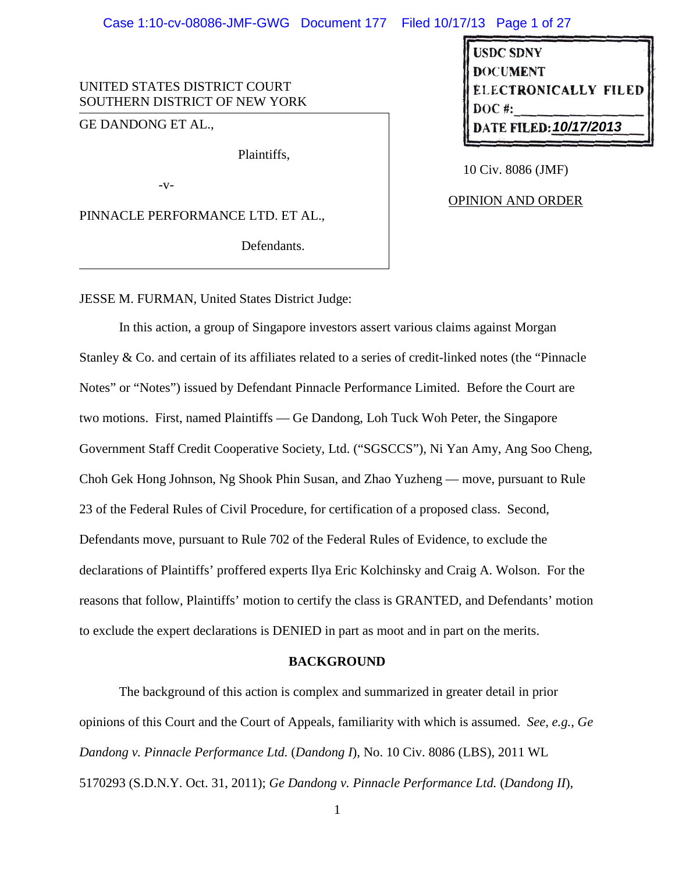# Case 1:10-cv-08086-JMF-GWG Document 177 Filed 10/17/13 Page 1 of 27

# UNITED STATES DISTRICT COURT SOUTHERN DISTRICT OF NEW YORK

GE DANDONG ET AL.,

Plaintiffs,

-v-

PINNACLE PERFORMANCE LTD. ET AL.,

Defendants.

**USDC SDNY DOCUMENT ELECTRONICALLY FILED 10/17/2013**

10 Civ. 8086 (JMF)

# OPINION AND ORDER

JESSE M. FURMAN, United States District Judge:

In this action, a group of Singapore investors assert various claims against Morgan Stanley & Co. and certain of its affiliates related to a series of credit-linked notes (the "Pinnacle Notes" or "Notes") issued by Defendant Pinnacle Performance Limited. Before the Court are two motions. First, named Plaintiffs — Ge Dandong, Loh Tuck Woh Peter, the Singapore Government Staff Credit Cooperative Society, Ltd. ("SGSCCS"), Ni Yan Amy, Ang Soo Cheng, Choh Gek Hong Johnson, Ng Shook Phin Susan, and Zhao Yuzheng — move, pursuant to Rule 23 of the Federal Rules of Civil Procedure, for certification of a proposed class. Second, Defendants move, pursuant to Rule 702 of the Federal Rules of Evidence, to exclude the declarations of Plaintiffs' proffered experts Ilya Eric Kolchinsky and Craig A. Wolson. For the reasons that follow, Plaintiffs' motion to certify the class is GRANTED, and Defendants' motion to exclude the expert declarations is DENIED in part as moot and in part on the merits.

#### **BACKGROUND**

The background of this action is complex and summarized in greater detail in prior opinions of this Court and the Court of Appeals, familiarity with which is assumed. *See, e.g.*, *Ge Dandong v. Pinnacle Performance Ltd.* (*Dandong I*), No. 10 Civ. 8086 (LBS), 2011 WL 5170293 (S.D.N.Y. Oct. 31, 2011); *Ge Dandong v. Pinnacle Performance Ltd.* (*Dandong II*),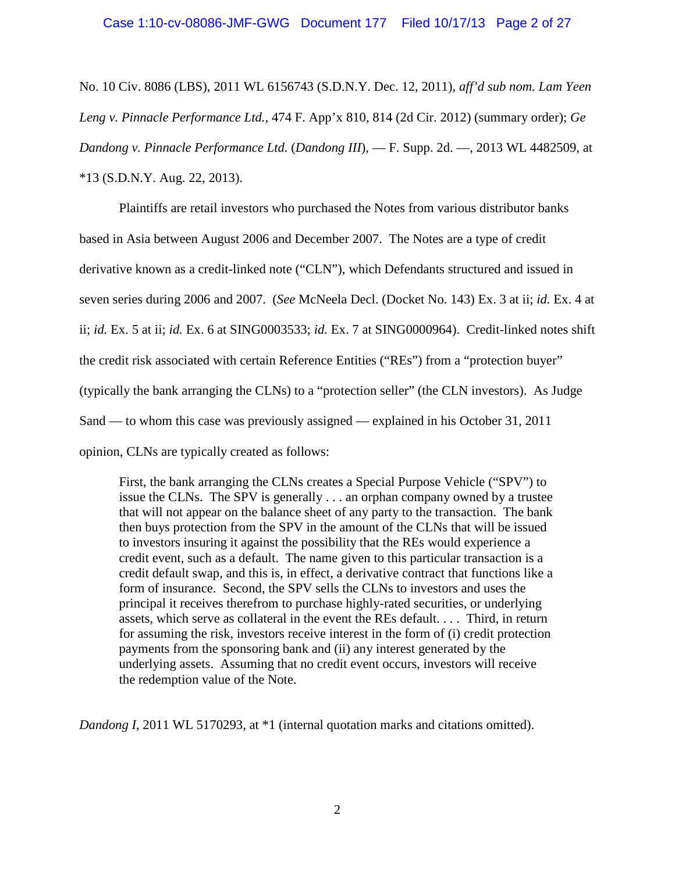No. 10 Civ. 8086 (LBS), 2011 WL 6156743 (S.D.N.Y. Dec. 12, 2011), *aff'd sub nom. Lam Yeen Leng v. Pinnacle Performance Ltd.*, 474 F. App'x 810, 814 (2d Cir. 2012) (summary order); *Ge Dandong v. Pinnacle Performance Ltd.* (*Dandong III*), — F. Supp. 2d. —, 2013 WL 4482509, at \*13 (S.D.N.Y. Aug. 22, 2013).

Plaintiffs are retail investors who purchased the Notes from various distributor banks based in Asia between August 2006 and December 2007. The Notes are a type of credit derivative known as a credit-linked note ("CLN"), which Defendants structured and issued in seven series during 2006 and 2007. (*See* McNeela Decl. (Docket No. 143) Ex. 3 at ii; *id.* Ex. 4 at ii; *id.* Ex. 5 at ii; *id.* Ex. 6 at SING0003533; *id.* Ex. 7 at SING0000964). Credit-linked notes shift the credit risk associated with certain Reference Entities ("REs") from a "protection buyer" (typically the bank arranging the CLNs) to a "protection seller" (the CLN investors). As Judge Sand — to whom this case was previously assigned — explained in his October 31, 2011 opinion, CLNs are typically created as follows:

First, the bank arranging the CLNs creates a Special Purpose Vehicle ("SPV") to issue the CLNs. The SPV is generally . . . an orphan company owned by a trustee that will not appear on the balance sheet of any party to the transaction. The bank then buys protection from the SPV in the amount of the CLNs that will be issued to investors insuring it against the possibility that the REs would experience a credit event, such as a default. The name given to this particular transaction is a credit default swap, and this is, in effect, a derivative contract that functions like a form of insurance. Second, the SPV sells the CLNs to investors and uses the principal it receives therefrom to purchase highly-rated securities, or underlying assets, which serve as collateral in the event the REs default. . . . Third, in return for assuming the risk, investors receive interest in the form of (i) credit protection payments from the sponsoring bank and (ii) any interest generated by the underlying assets. Assuming that no credit event occurs, investors will receive the redemption value of the Note.

*Dandong I*, 2011 WL 5170293, at \*1 (internal quotation marks and citations omitted).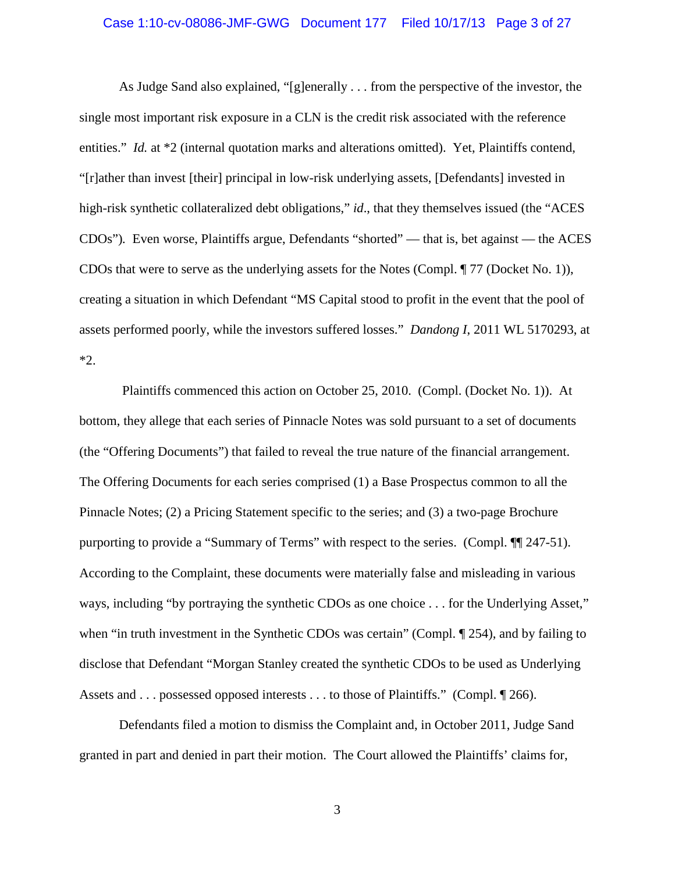# Case 1:10-cv-08086-JMF-GWG Document 177 Filed 10/17/13 Page 3 of 27

As Judge Sand also explained, "[g]enerally . . . from the perspective of the investor, the single most important risk exposure in a CLN is the credit risk associated with the reference entities." *Id.* at \*2 (internal quotation marks and alterations omitted). Yet, Plaintiffs contend, "[r]ather than invest [their] principal in low-risk underlying assets, [Defendants] invested in high-risk synthetic collateralized debt obligations," *id*., that they themselves issued (the "ACES CDOs")*.* Even worse, Plaintiffs argue, Defendants "shorted" — that is, bet against — the ACES CDOs that were to serve as the underlying assets for the Notes (Compl. ¶ 77 (Docket No. 1)), creating a situation in which Defendant "MS Capital stood to profit in the event that the pool of assets performed poorly, while the investors suffered losses." *Dandong I*, 2011 WL 5170293, at \*2.

Plaintiffs commenced this action on October 25, 2010. (Compl. (Docket No. 1)). At bottom, they allege that each series of Pinnacle Notes was sold pursuant to a set of documents (the "Offering Documents") that failed to reveal the true nature of the financial arrangement. The Offering Documents for each series comprised (1) a Base Prospectus common to all the Pinnacle Notes; (2) a Pricing Statement specific to the series; and (3) a two-page Brochure purporting to provide a "Summary of Terms" with respect to the series. (Compl. ¶¶ 247-51). According to the Complaint, these documents were materially false and misleading in various ways, including "by portraying the synthetic CDOs as one choice . . . for the Underlying Asset," when "in truth investment in the Synthetic CDOs was certain" (Compl.  $\P$  254), and by failing to disclose that Defendant "Morgan Stanley created the synthetic CDOs to be used as Underlying Assets and . . . possessed opposed interests . . . to those of Plaintiffs." (Compl.  $\P$  266).

Defendants filed a motion to dismiss the Complaint and, in October 2011, Judge Sand granted in part and denied in part their motion. The Court allowed the Plaintiffs' claims for,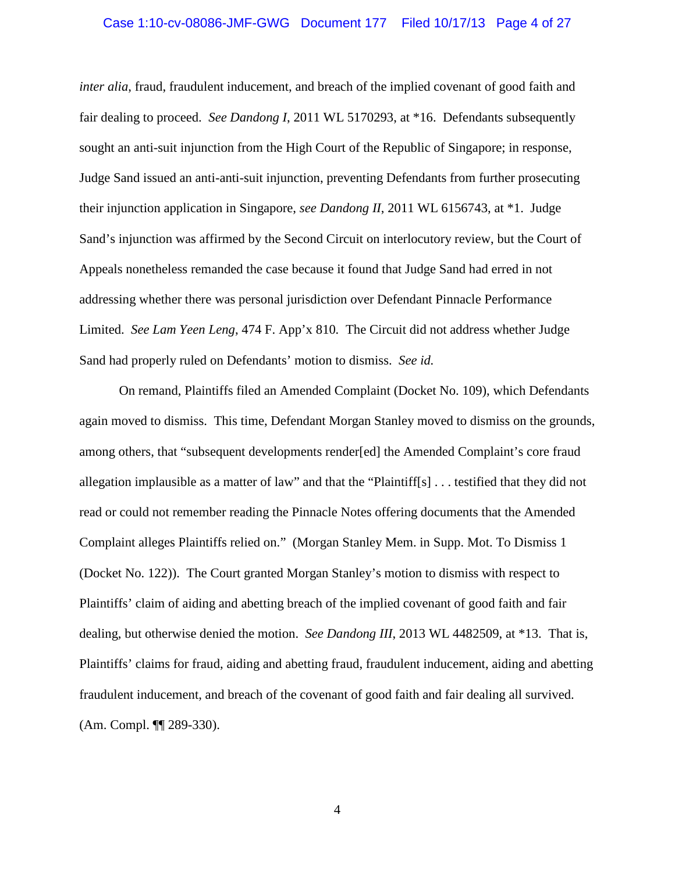# Case 1:10-cv-08086-JMF-GWG Document 177 Filed 10/17/13 Page 4 of 27

*inter alia*, fraud, fraudulent inducement, and breach of the implied covenant of good faith and fair dealing to proceed. *See Dandong I*, 2011 WL 5170293, at \*16. Defendants subsequently sought an anti-suit injunction from the High Court of the Republic of Singapore; in response, Judge Sand issued an anti-anti-suit injunction, preventing Defendants from further prosecuting their injunction application in Singapore, *see Dandong II*, 2011 WL 6156743, at \*1. Judge Sand's injunction was affirmed by the Second Circuit on interlocutory review, but the Court of Appeals nonetheless remanded the case because it found that Judge Sand had erred in not addressing whether there was personal jurisdiction over Defendant Pinnacle Performance Limited. *See Lam Yeen Leng*, 474 F. App'x 810*.* The Circuit did not address whether Judge Sand had properly ruled on Defendants' motion to dismiss. *See id.*

On remand, Plaintiffs filed an Amended Complaint (Docket No. 109), which Defendants again moved to dismiss. This time, Defendant Morgan Stanley moved to dismiss on the grounds, among others, that "subsequent developments render[ed] the Amended Complaint's core fraud allegation implausible as a matter of law" and that the "Plaintiff[s] . . . testified that they did not read or could not remember reading the Pinnacle Notes offering documents that the Amended Complaint alleges Plaintiffs relied on." (Morgan Stanley Mem. in Supp. Mot. To Dismiss 1 (Docket No. 122)). The Court granted Morgan Stanley's motion to dismiss with respect to Plaintiffs' claim of aiding and abetting breach of the implied covenant of good faith and fair dealing, but otherwise denied the motion. *See Dandong III*, 2013 WL 4482509, at \*13. That is, Plaintiffs' claims for fraud, aiding and abetting fraud, fraudulent inducement, aiding and abetting fraudulent inducement, and breach of the covenant of good faith and fair dealing all survived. (Am. Compl. ¶¶ 289-330).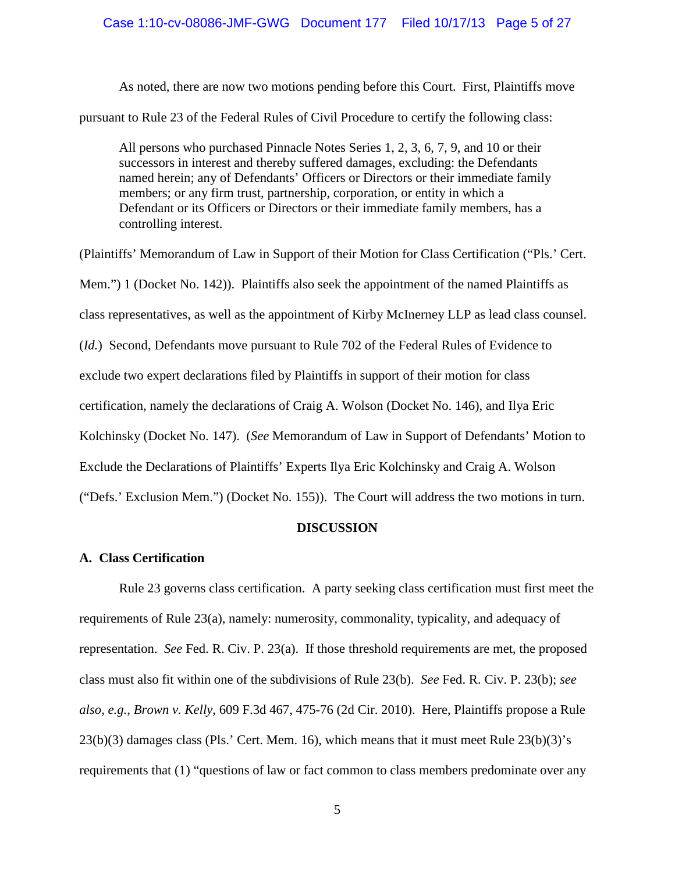# Case 1:10-cv-08086-JMF-GWG Document 177 Filed 10/17/13 Page 5 of 27

As noted, there are now two motions pending before this Court. First, Plaintiffs move pursuant to Rule 23 of the Federal Rules of Civil Procedure to certify the following class:

All persons who purchased Pinnacle Notes Series 1, 2, 3, 6, 7, 9, and 10 or their successors in interest and thereby suffered damages, excluding: the Defendants named herein; any of Defendants' Officers or Directors or their immediate family members; or any firm trust, partnership, corporation, or entity in which a Defendant or its Officers or Directors or their immediate family members, has a controlling interest.

(Plaintiffs' Memorandum of Law in Support of their Motion for Class Certification ("Pls.' Cert. Mem.") 1 (Docket No. 142)). Plaintiffs also seek the appointment of the named Plaintiffs as class representatives, as well as the appointment of Kirby McInerney LLP as lead class counsel. (*Id.*) Second, Defendants move pursuant to Rule 702 of the Federal Rules of Evidence to exclude two expert declarations filed by Plaintiffs in support of their motion for class certification, namely the declarations of Craig A. Wolson (Docket No. 146), and Ilya Eric Kolchinsky (Docket No. 147). (*See* Memorandum of Law in Support of Defendants' Motion to Exclude the Declarations of Plaintiffs' Experts Ilya Eric Kolchinsky and Craig A. Wolson ("Defs.' Exclusion Mem.") (Docket No. 155)). The Court will address the two motions in turn.

# **DISCUSSION**

# **A. Class Certification**

Rule 23 governs class certification. A party seeking class certification must first meet the requirements of Rule 23(a), namely: numerosity, commonality, typicality, and adequacy of representation. *See* Fed. R. Civ. P. 23(a). If those threshold requirements are met, the proposed class must also fit within one of the subdivisions of Rule 23(b). *See* Fed. R. Civ. P. 23(b); *see also, e.g.*, *Brown v. Kelly*, 609 F.3d 467, 475-76 (2d Cir. 2010). Here, Plaintiffs propose a Rule 23(b)(3) damages class (Pls.' Cert. Mem. 16), which means that it must meet Rule 23(b)(3)'s requirements that (1) "questions of law or fact common to class members predominate over any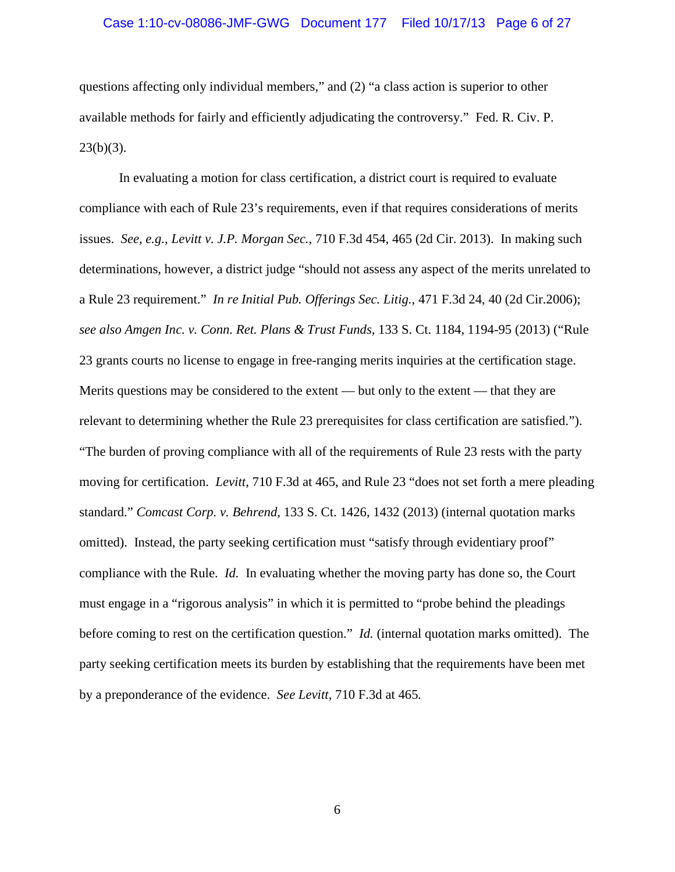# Case 1:10-cv-08086-JMF-GWG Document 177 Filed 10/17/13 Page 6 of 27

questions affecting only individual members," and (2) "a class action is superior to other available methods for fairly and efficiently adjudicating the controversy." Fed. R. Civ. P.  $23(b)(3)$ .

In evaluating a motion for class certification, a district court is required to evaluate compliance with each of Rule 23's requirements, even if that requires considerations of merits issues. *See, e.g.*, *Levitt v. J.P. Morgan Sec.*, 710 F.3d 454, 465 (2d Cir. 2013). In making such determinations, however, a district judge "should not assess any aspect of the merits unrelated to a Rule 23 requirement." *In re Initial Pub. Offerings Sec. Litig.*, 471 F.3d 24, 40 (2d Cir.2006); *see also Amgen Inc. v. Conn. Ret. Plans & Trust Funds*, 133 S. Ct. 1184, 1194-95 (2013) ("Rule 23 grants courts no license to engage in free-ranging merits inquiries at the certification stage. Merits questions may be considered to the extent — but only to the extent — that they are relevant to determining whether the Rule 23 prerequisites for class certification are satisfied."). "The burden of proving compliance with all of the requirements of Rule 23 rests with the party moving for certification. *Levitt*, 710 F.3d at 465, and Rule 23 "does not set forth a mere pleading standard." *Comcast Corp. v. Behrend*, 133 S. Ct. 1426, 1432 (2013) (internal quotation marks omitted). Instead, the party seeking certification must "satisfy through evidentiary proof" compliance with the Rule. *Id.* In evaluating whether the moving party has done so, the Court must engage in a "rigorous analysis" in which it is permitted to "probe behind the pleadings before coming to rest on the certification question." *Id.* (internal quotation marks omitted).The party seeking certification meets its burden by establishing that the requirements have been met by a preponderance of the evidence. *See Levitt*, 710 F.3d at 465*.*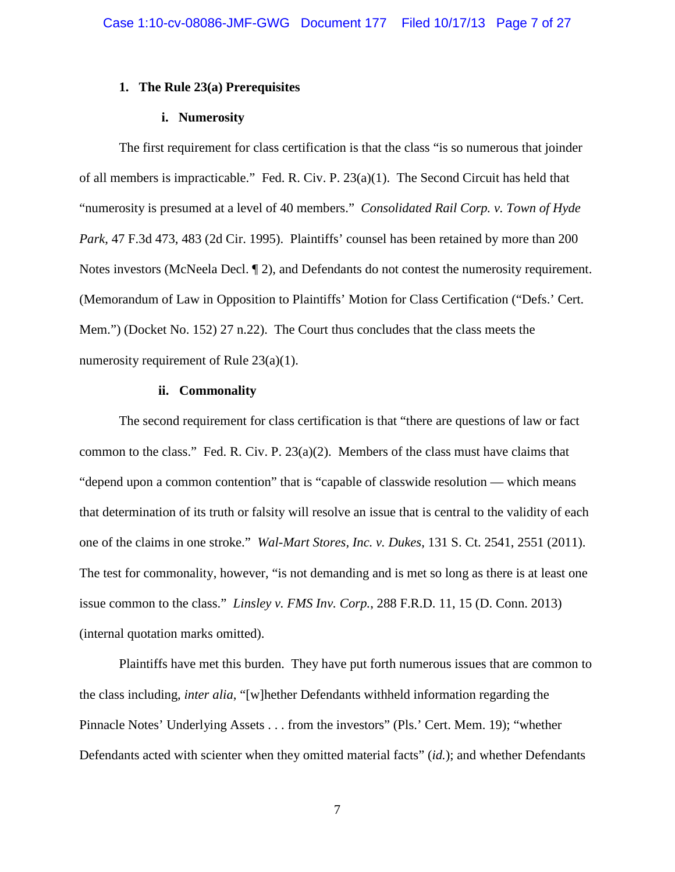# **1. The Rule 23(a) Prerequisites**

# **i. Numerosity**

The first requirement for class certification is that the class "is so numerous that joinder of all members is impracticable." Fed. R. Civ. P. 23(a)(1). The Second Circuit has held that "numerosity is presumed at a level of 40 members." *Consolidated Rail Corp. v. Town of Hyde Park*, 47 F.3d 473, 483 (2d Cir. 1995). Plaintiffs' counsel has been retained by more than 200 Notes investors (McNeela Decl. 12), and Defendants do not contest the numerosity requirement. (Memorandum of Law in Opposition to Plaintiffs' Motion for Class Certification ("Defs.' Cert. Mem.") (Docket No. 152) 27 n.22). The Court thus concludes that the class meets the numerosity requirement of Rule 23(a)(1).

# **ii. Commonality**

The second requirement for class certification is that "there are questions of law or fact common to the class." Fed. R. Civ. P.  $23(a)(2)$ . Members of the class must have claims that "depend upon a common contention" that is "capable of classwide resolution — which means that determination of its truth or falsity will resolve an issue that is central to the validity of each one of the claims in one stroke." *Wal-Mart Stores, Inc. v. Dukes*, 131 S. Ct. 2541, 2551 (2011). The test for commonality, however, "is not demanding and is met so long as there is at least one issue common to the class." *Linsley v. FMS Inv. Corp.*, 288 F.R.D. 11, 15 (D. Conn. 2013) (internal quotation marks omitted).

Plaintiffs have met this burden. They have put forth numerous issues that are common to the class including, *inter alia*, "[w]hether Defendants withheld information regarding the Pinnacle Notes' Underlying Assets . . . from the investors" (Pls.' Cert. Mem. 19); "whether Defendants acted with scienter when they omitted material facts" (*id.*); and whether Defendants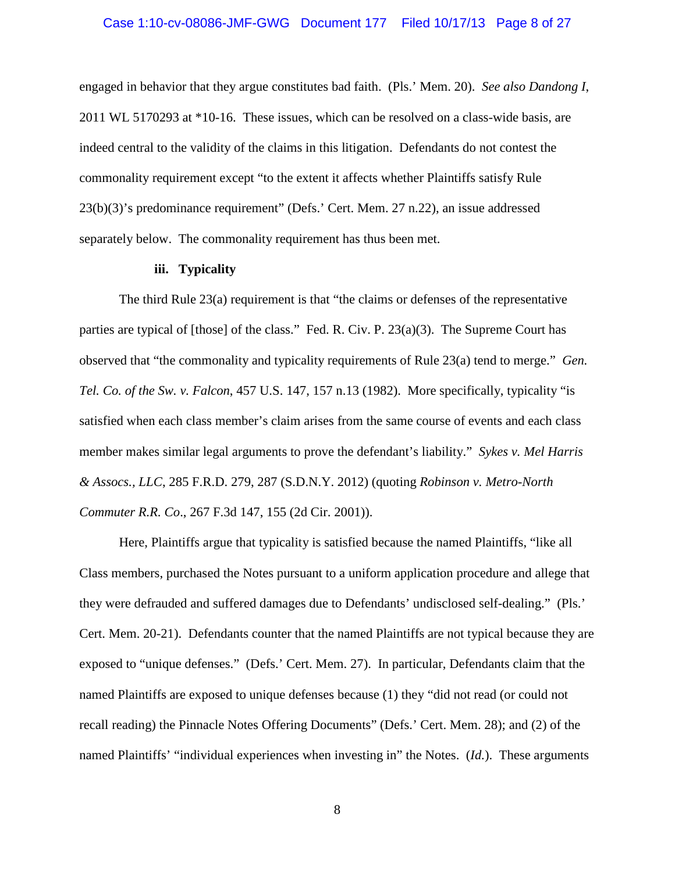# Case 1:10-cv-08086-JMF-GWG Document 177 Filed 10/17/13 Page 8 of 27

engaged in behavior that they argue constitutes bad faith. (Pls.' Mem. 20). *See also Dandong I*, 2011 WL 5170293 at \*10-16. These issues, which can be resolved on a class-wide basis, are indeed central to the validity of the claims in this litigation. Defendants do not contest the commonality requirement except "to the extent it affects whether Plaintiffs satisfy Rule 23(b)(3)'s predominance requirement" (Defs.' Cert. Mem. 27 n.22), an issue addressed separately below. The commonality requirement has thus been met.

# **iii. Typicality**

The third Rule 23(a) requirement is that "the claims or defenses of the representative parties are typical of [those] of the class." Fed. R. Civ. P. 23(a)(3). The Supreme Court has observed that "the commonality and typicality requirements of Rule 23(a) tend to merge." *Gen. Tel. Co. of the Sw. v. Falcon*, 457 U.S. 147, 157 n.13 (1982). More specifically, typicality "is satisfied when each class member's claim arises from the same course of events and each class member makes similar legal arguments to prove the defendant's liability." *Sykes v. Mel Harris & Assocs., LLC*, 285 F.R.D. 279, 287 (S.D.N.Y. 2012) (quoting *Robinson v. Metro-North Commuter R.R. Co*., 267 F.3d 147, 155 (2d Cir. 2001)).

Here, Plaintiffs argue that typicality is satisfied because the named Plaintiffs, "like all Class members, purchased the Notes pursuant to a uniform application procedure and allege that they were defrauded and suffered damages due to Defendants' undisclosed self-dealing." (Pls.' Cert. Mem. 20-21). Defendants counter that the named Plaintiffs are not typical because they are exposed to "unique defenses." (Defs.' Cert. Mem. 27). In particular, Defendants claim that the named Plaintiffs are exposed to unique defenses because (1) they "did not read (or could not recall reading) the Pinnacle Notes Offering Documents" (Defs.' Cert. Mem. 28); and (2) of the named Plaintiffs' "individual experiences when investing in" the Notes. (*Id.*). These arguments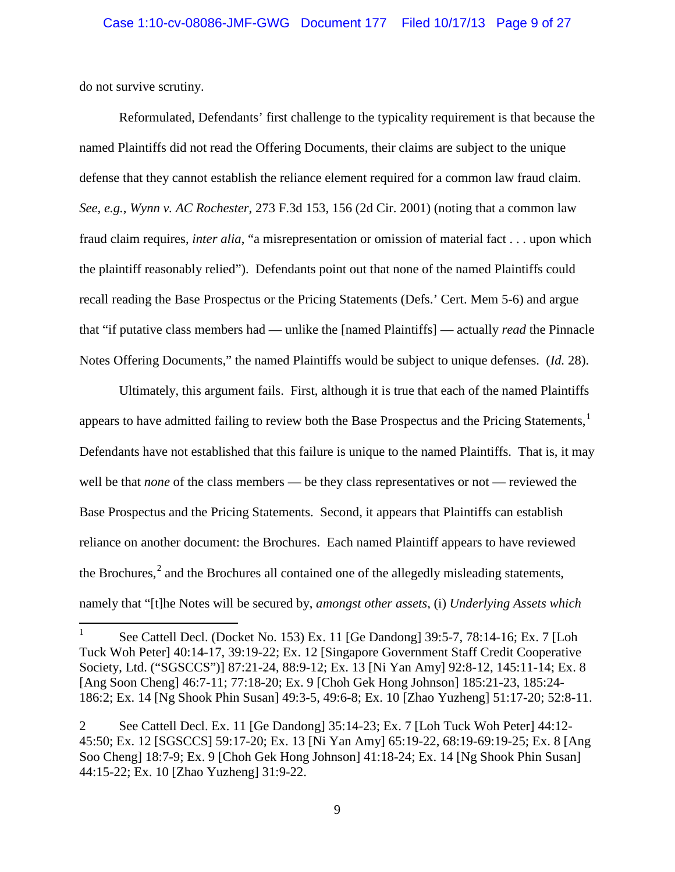do not survive scrutiny.

Reformulated, Defendants' first challenge to the typicality requirement is that because the named Plaintiffs did not read the Offering Documents, their claims are subject to the unique defense that they cannot establish the reliance element required for a common law fraud claim. *See, e.g.*, *Wynn v. AC Rochester*, 273 F.3d 153, 156 (2d Cir. 2001) (noting that a common law fraud claim requires, *inter alia*, "a misrepresentation or omission of material fact . . . upon which the plaintiff reasonably relied"). Defendants point out that none of the named Plaintiffs could recall reading the Base Prospectus or the Pricing Statements (Defs.' Cert. Mem 5-6) and argue that "if putative class members had — unlike the [named Plaintiffs] — actually *read* the Pinnacle Notes Offering Documents," the named Plaintiffs would be subject to unique defenses. (*Id.* 28).

Ultimately, this argument fails. First, although it is true that each of the named Plaintiffs appears to have admitted failing to review both the Base Prospectus and the Pricing Statements,<sup>1</sup> Defendants have not established that this failure is unique to the named Plaintiffs. That is, it may well be that *none* of the class members — be they class representatives or not — reviewed the Base Prospectus and the Pricing Statements. Second, it appears that Plaintiffs can establish reliance on another document: the Brochures. Each named Plaintiff appears to have reviewed the Brochures,<sup>2</sup> and the Brochures all contained one of the allegedly misleading statements, namely that "[t]he Notes will be secured by, *amongst other assets*, (i) *Underlying Assets which* 

<sup>&</sup>lt;sup>1</sup> See Cattell Decl. (Docket No. 153) Ex. 11 [Ge Dandong]  $39:5-7, 78:14-16$ ; Ex. 7 [Loh Tuck Woh Peter] 40:14-17, 39:19-22; Ex. 12 [Singapore Government Staff Credit Cooperative Society, Ltd. ("SGSCCS")] 87:21-24, 88:9-12; Ex. 13 [Ni Yan Amy] 92:8-12, 145:11-14; Ex. 8 [Ang Soon Cheng] 46:7-11; 77:18-20; Ex. 9 [Choh Gek Hong Johnson] 185:21-23, 185:24- 186:2; Ex. 14 [Ng Shook Phin Susan] 49:3-5, 49:6-8; Ex. 10 [Zhao Yuzheng] 51:17-20; 52:8-11.

<sup>2</sup> See Cattell Decl. Ex. 11 [Ge Dandong] 35:14-23; Ex. 7 [Loh Tuck Woh Peter] 44:12- 45:50; Ex. 12 [SGSCCS] 59:17-20; Ex. 13 [Ni Yan Amy] 65:19-22, 68:19-69:19-25; Ex. 8 [Ang Soo Cheng] 18:7-9; Ex. 9 [Choh Gek Hong Johnson] 41:18-24; Ex. 14 [Ng Shook Phin Susan] 44:15-22; Ex. 10 [Zhao Yuzheng] 31:9-22.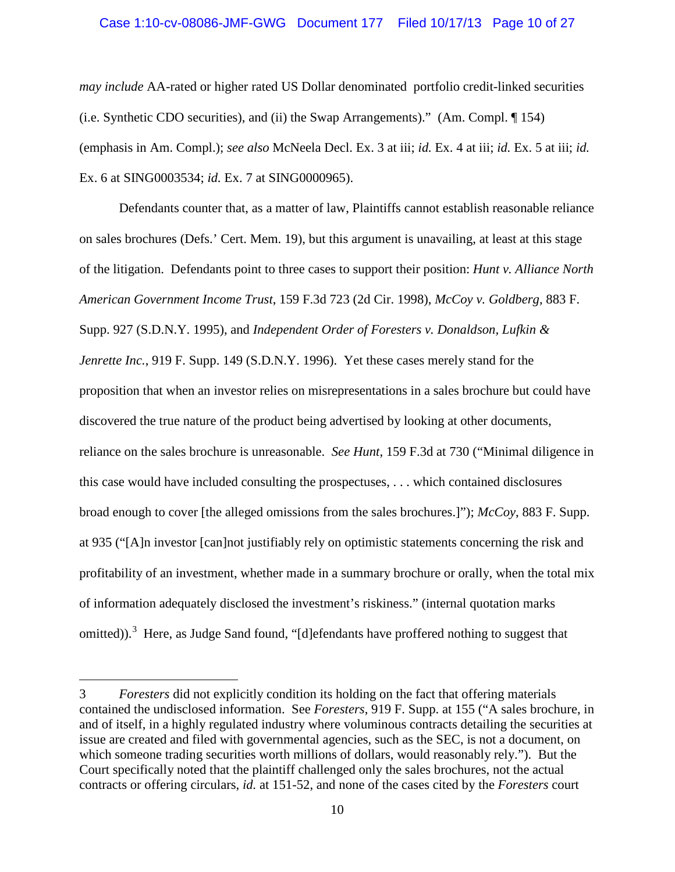# Case 1:10-cv-08086-JMF-GWG Document 177 Filed 10/17/13 Page 10 of 27

*may include* AA-rated or higher rated US Dollar denominated portfolio credit-linked securities (i.e. Synthetic CDO securities), and (ii) the Swap Arrangements)." (Am. Compl. ¶ 154) (emphasis in Am. Compl.); *see also* McNeela Decl. Ex. 3 at iii; *id.* Ex. 4 at iii; *id.* Ex. 5 at iii; *id.*  Ex. 6 at SING0003534; *id.* Ex. 7 at SING0000965).

Defendants counter that, as a matter of law, Plaintiffs cannot establish reasonable reliance on sales brochures (Defs.' Cert. Mem. 19), but this argument is unavailing, at least at this stage of the litigation. Defendants point to three cases to support their position: *Hunt v. Alliance North American Government Income Trust*, 159 F.3d 723 (2d Cir. 1998), *McCoy v. Goldberg*, 883 F. Supp. 927 (S.D.N.Y. 1995), and *Independent Order of Foresters v. Donaldson, Lufkin & Jenrette Inc.*, 919 F. Supp. 149 (S.D.N.Y. 1996). Yet these cases merely stand for the proposition that when an investor relies on misrepresentations in a sales brochure but could have discovered the true nature of the product being advertised by looking at other documents, reliance on the sales brochure is unreasonable. *See Hunt*, 159 F.3d at 730 ("Minimal diligence in this case would have included consulting the prospectuses, . . . which contained disclosures broad enough to cover [the alleged omissions from the sales brochures.]"); *McCoy*, 883 F. Supp. at 935 ("[A]n investor [can]not justifiably rely on optimistic statements concerning the risk and profitability of an investment, whether made in a summary brochure or orally, when the total mix of information adequately disclosed the investment's riskiness." (internal quotation marks omitted)).<sup>3</sup> Here, as Judge Sand found, "[d]efendants have proffered nothing to suggest that

 $\overline{a}$ 

<sup>3</sup> *Foresters* did not explicitly condition its holding on the fact that offering materials contained the undisclosed information. See *Foresters*, 919 F. Supp. at 155 ("A sales brochure, in and of itself, in a highly regulated industry where voluminous contracts detailing the securities at issue are created and filed with governmental agencies, such as the SEC, is not a document, on which someone trading securities worth millions of dollars, would reasonably rely."). But the Court specifically noted that the plaintiff challenged only the sales brochures, not the actual contracts or offering circulars, *id.* at 151-52, and none of the cases cited by the *Foresters* court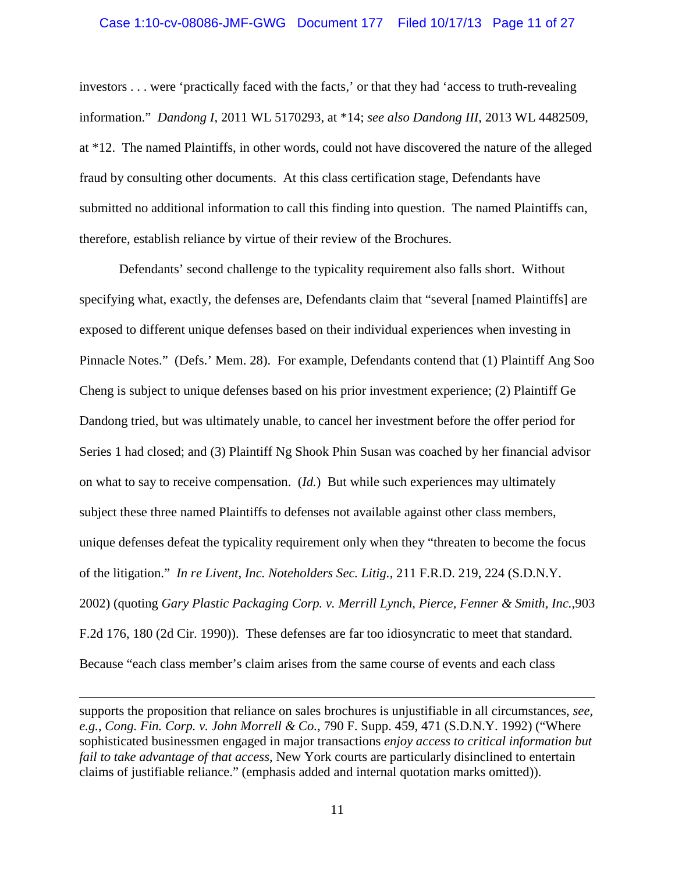# Case 1:10-cv-08086-JMF-GWG Document 177 Filed 10/17/13 Page 11 of 27

investors . . . were 'practically faced with the facts,' or that they had 'access to truth-revealing information." *Dandong I*, 2011 WL 5170293, at \*14; *see also Dandong III*, 2013 WL 4482509, at \*12. The named Plaintiffs, in other words, could not have discovered the nature of the alleged fraud by consulting other documents. At this class certification stage, Defendants have submitted no additional information to call this finding into question. The named Plaintiffs can, therefore, establish reliance by virtue of their review of the Brochures.

Defendants' second challenge to the typicality requirement also falls short. Without specifying what, exactly, the defenses are, Defendants claim that "several [named Plaintiffs] are exposed to different unique defenses based on their individual experiences when investing in Pinnacle Notes." (Defs.' Mem. 28). For example, Defendants contend that (1) Plaintiff Ang Soo Cheng is subject to unique defenses based on his prior investment experience; (2) Plaintiff Ge Dandong tried, but was ultimately unable, to cancel her investment before the offer period for Series 1 had closed; and (3) Plaintiff Ng Shook Phin Susan was coached by her financial advisor on what to say to receive compensation. (*Id.*) But while such experiences may ultimately subject these three named Plaintiffs to defenses not available against other class members, unique defenses defeat the typicality requirement only when they "threaten to become the focus of the litigation." *In re Livent, Inc. Noteholders Sec. Litig.*, 211 F.R.D. 219, 224 (S.D.N.Y. 2002) (quoting *Gary Plastic Packaging Corp. v. Merrill Lynch, Pierce, Fenner & Smith, Inc.*,903 F.2d 176, 180 (2d Cir. 1990)). These defenses are far too idiosyncratic to meet that standard. Because "each class member's claim arises from the same course of events and each class

 $\overline{a}$ 

supports the proposition that reliance on sales brochures is unjustifiable in all circumstances, *see, e.g.*, *Cong. Fin. Corp. v. John Morrell & Co.*, 790 F. Supp. 459, 471 (S.D.N.Y. 1992) ("Where sophisticated businessmen engaged in major transactions *enjoy access to critical information but fail to take advantage of that access*, New York courts are particularly disinclined to entertain claims of justifiable reliance." (emphasis added and internal quotation marks omitted)).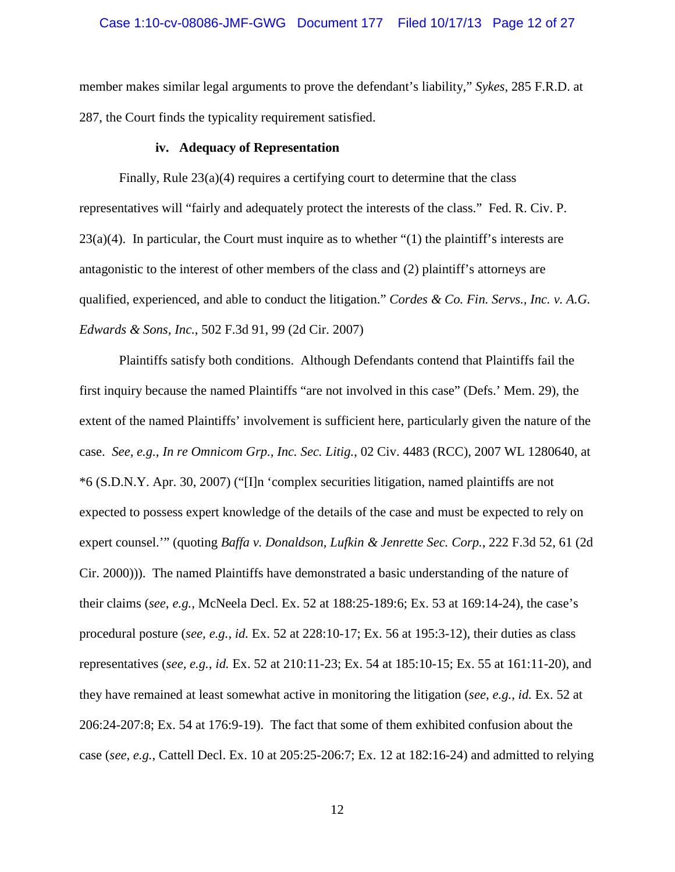# Case 1:10-cv-08086-JMF-GWG Document 177 Filed 10/17/13 Page 12 of 27

member makes similar legal arguments to prove the defendant's liability," *Sykes*, 285 F.R.D. at 287, the Court finds the typicality requirement satisfied.

#### **iv. Adequacy of Representation**

Finally, Rule 23(a)(4) requires a certifying court to determine that the class representatives will "fairly and adequately protect the interests of the class." Fed. R. Civ. P.  $23(a)(4)$ . In particular, the Court must inquire as to whether "(1) the plaintiff's interests are antagonistic to the interest of other members of the class and (2) plaintiff's attorneys are qualified, experienced, and able to conduct the litigation." *Cordes & Co. Fin. Servs., Inc. v. A.G. Edwards & Sons, Inc.*, 502 F.3d 91, 99 (2d Cir. 2007)

Plaintiffs satisfy both conditions. Although Defendants contend that Plaintiffs fail the first inquiry because the named Plaintiffs "are not involved in this case" (Defs.' Mem. 29), the extent of the named Plaintiffs' involvement is sufficient here, particularly given the nature of the case. *See, e.g.*, *In re Omnicom Grp., Inc. Sec. Litig.*, 02 Civ. 4483 (RCC), 2007 WL 1280640, at \*6 (S.D.N.Y. Apr. 30, 2007) ("[I]n 'complex securities litigation, named plaintiffs are not expected to possess expert knowledge of the details of the case and must be expected to rely on expert counsel.'" (quoting *Baffa v. Donaldson, Lufkin & Jenrette Sec. Corp.*, 222 F.3d 52, 61 (2d Cir. 2000))). The named Plaintiffs have demonstrated a basic understanding of the nature of their claims (*see*, *e.g.*, McNeela Decl. Ex. 52 at 188:25-189:6; Ex. 53 at 169:14-24), the case's procedural posture (*see, e.g.*, *id.* Ex. 52 at 228:10-17; Ex. 56 at 195:3-12), their duties as class representatives (*see, e.g.*, *id.* Ex. 52 at 210:11-23; Ex. 54 at 185:10-15; Ex. 55 at 161:11-20), and they have remained at least somewhat active in monitoring the litigation (*see, e.g.*, *id.* Ex. 52 at 206:24-207:8; Ex. 54 at 176:9-19). The fact that some of them exhibited confusion about the case (*see*, *e.g.*, Cattell Decl. Ex. 10 at 205:25-206:7; Ex. 12 at 182:16-24) and admitted to relying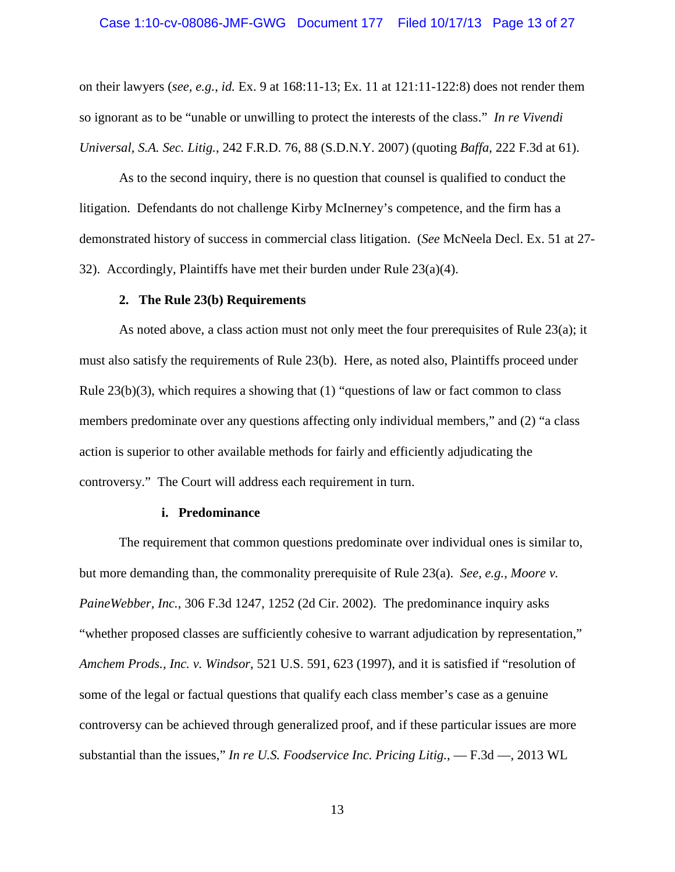# Case 1:10-cv-08086-JMF-GWG Document 177 Filed 10/17/13 Page 13 of 27

on their lawyers (*see, e.g.*, *id.* Ex. 9 at 168:11-13; Ex. 11 at 121:11-122:8) does not render them so ignorant as to be "unable or unwilling to protect the interests of the class." *In re Vivendi Universal, S.A. Sec. Litig.*, 242 F.R.D. 76, 88 (S.D.N.Y. 2007) (quoting *Baffa*, 222 F.3d at 61).

As to the second inquiry, there is no question that counsel is qualified to conduct the litigation. Defendants do not challenge Kirby McInerney's competence, and the firm has a demonstrated history of success in commercial class litigation. (*See* McNeela Decl. Ex. 51 at 27- 32). Accordingly, Plaintiffs have met their burden under Rule 23(a)(4).

# **2. The Rule 23(b) Requirements**

As noted above, a class action must not only meet the four prerequisites of Rule 23(a); it must also satisfy the requirements of Rule 23(b). Here, as noted also, Plaintiffs proceed under Rule 23(b)(3), which requires a showing that (1) "questions of law or fact common to class members predominate over any questions affecting only individual members," and (2) "a class action is superior to other available methods for fairly and efficiently adjudicating the controversy." The Court will address each requirement in turn.

#### **i. Predominance**

The requirement that common questions predominate over individual ones is similar to, but more demanding than, the commonality prerequisite of Rule 23(a). *See, e.g.*, *Moore v. PaineWebber, Inc.*, 306 F.3d 1247, 1252 (2d Cir. 2002). The predominance inquiry asks "whether proposed classes are sufficiently cohesive to warrant adjudication by representation," *Amchem Prods., Inc. v. Windsor*, 521 U.S. 591, 623 (1997), and it is satisfied if "resolution of some of the legal or factual questions that qualify each class member's case as a genuine controversy can be achieved through generalized proof, and if these particular issues are more substantial than the issues," *In re U.S. Foodservice Inc. Pricing Litig.*, — F.3d —, 2013 WL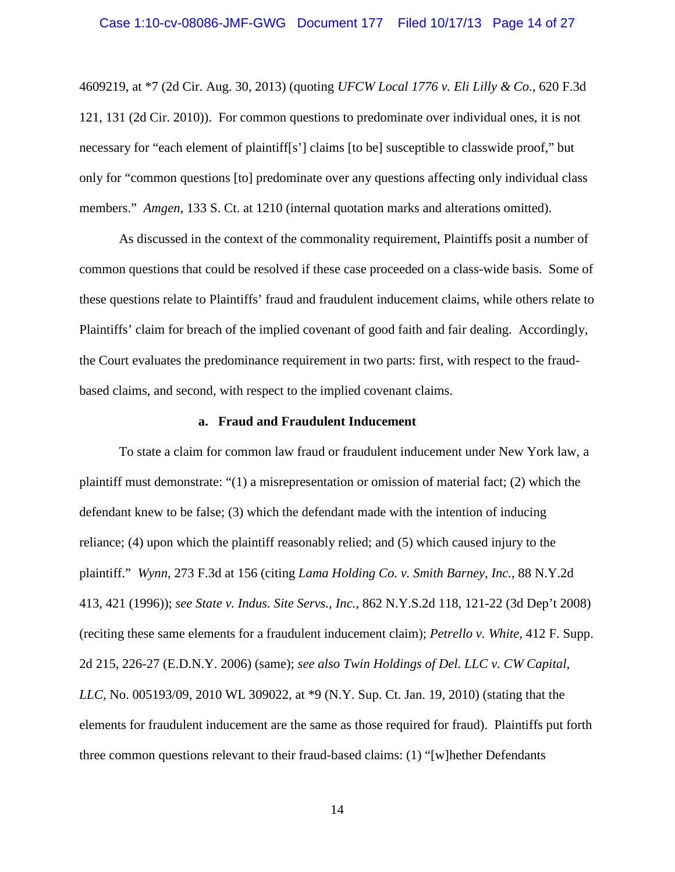# Case 1:10-cv-08086-JMF-GWG Document 177 Filed 10/17/13 Page 14 of 27

4609219, at \*7 (2d Cir. Aug. 30, 2013) (quoting *UFCW Local 1776 v. Eli Lilly & Co.*, 620 F.3d 121, 131 (2d Cir. 2010)). For common questions to predominate over individual ones, it is not necessary for "each element of plaintiff[s'] claims [to be] susceptible to classwide proof," but only for "common questions [to] predominate over any questions affecting only individual class members." *Amgen*, 133 S. Ct. at 1210 (internal quotation marks and alterations omitted).

As discussed in the context of the commonality requirement, Plaintiffs posit a number of common questions that could be resolved if these case proceeded on a class-wide basis. Some of these questions relate to Plaintiffs' fraud and fraudulent inducement claims, while others relate to Plaintiffs' claim for breach of the implied covenant of good faith and fair dealing. Accordingly, the Court evaluates the predominance requirement in two parts: first, with respect to the fraudbased claims, and second, with respect to the implied covenant claims.

#### **a. Fraud and Fraudulent Inducement**

To state a claim for common law fraud or fraudulent inducement under New York law, a plaintiff must demonstrate: "(1) a misrepresentation or omission of material fact; (2) which the defendant knew to be false; (3) which the defendant made with the intention of inducing reliance; (4) upon which the plaintiff reasonably relied; and (5) which caused injury to the plaintiff." *Wynn*, 273 F.3d at 156 (citing *Lama Holding Co. v. Smith Barney, Inc.*, 88 N.Y.2d 413, 421 (1996)); *see State v. Indus. Site Servs., Inc.*, 862 N.Y.S.2d 118, 121-22 (3d Dep't 2008) (reciting these same elements for a fraudulent inducement claim); *Petrello v. White*, 412 F. Supp. 2d 215, 226-27 (E.D.N.Y. 2006) (same); *see also Twin Holdings of Del. LLC v. CW Capital, LLC*, No. 005193/09, 2010 WL 309022, at \*9 (N.Y. Sup. Ct. Jan. 19, 2010) (stating that the elements for fraudulent inducement are the same as those required for fraud). Plaintiffs put forth three common questions relevant to their fraud-based claims: (1) "[w]hether Defendants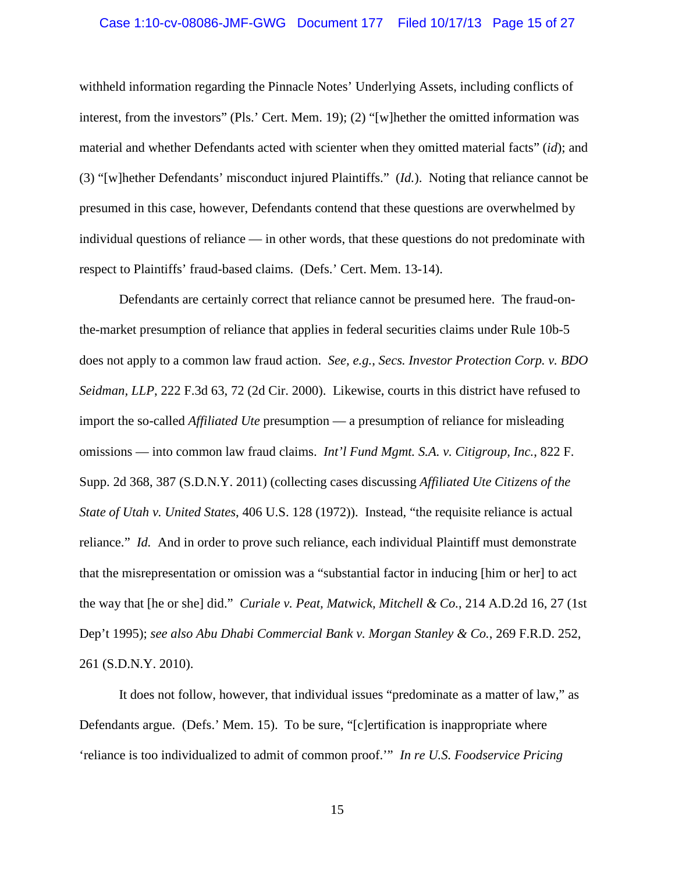# Case 1:10-cv-08086-JMF-GWG Document 177 Filed 10/17/13 Page 15 of 27

withheld information regarding the Pinnacle Notes' Underlying Assets, including conflicts of interest, from the investors" (Pls.' Cert. Mem. 19); (2) "[w]hether the omitted information was material and whether Defendants acted with scienter when they omitted material facts" (*id*); and (3) "[w]hether Defendants' misconduct injured Plaintiffs." (*Id.*). Noting that reliance cannot be presumed in this case, however, Defendants contend that these questions are overwhelmed by individual questions of reliance — in other words, that these questions do not predominate with respect to Plaintiffs' fraud-based claims. (Defs.' Cert. Mem. 13-14).

Defendants are certainly correct that reliance cannot be presumed here. The fraud-onthe-market presumption of reliance that applies in federal securities claims under Rule 10b-5 does not apply to a common law fraud action. *See, e.g.*, *Secs. Investor Protection Corp. v. BDO Seidman, LLP*, 222 F.3d 63, 72 (2d Cir. 2000). Likewise, courts in this district have refused to import the so-called *Affiliated Ute* presumption — a presumption of reliance for misleading omissions — into common law fraud claims. *Int'l Fund Mgmt. S.A. v. Citigroup, Inc.*, 822 F. Supp. 2d 368, 387 (S.D.N.Y. 2011) (collecting cases discussing *Affiliated Ute Citizens of the State of Utah v. United States*, 406 U.S. 128 (1972)). Instead, "the requisite reliance is actual reliance." *Id.* And in order to prove such reliance, each individual Plaintiff must demonstrate that the misrepresentation or omission was a "substantial factor in inducing [him or her] to act the way that [he or she] did." *Curiale v. Peat, Matwick, Mitchell & Co.*, 214 A.D.2d 16, 27 (1st Dep't 1995); *see also Abu Dhabi Commercial Bank v. Morgan Stanley & Co.*, 269 F.R.D. 252, 261 (S.D.N.Y. 2010).

It does not follow, however, that individual issues "predominate as a matter of law," as Defendants argue. (Defs.' Mem. 15). To be sure, "[c]ertification is inappropriate where 'reliance is too individualized to admit of common proof.'" *In re U.S. Foodservice Pricing*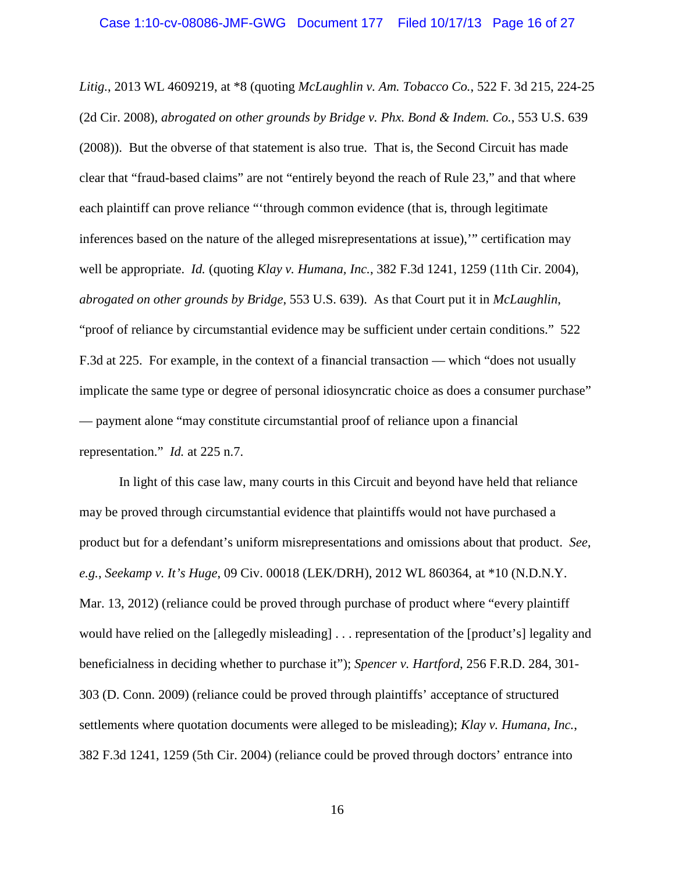*Litig.*, 2013 WL 4609219, at \*8 (quoting *McLaughlin v. Am. Tobacco Co.*, 522 F. 3d 215, 224-25 (2d Cir. 2008), *abrogated on other grounds by Bridge v. Phx. Bond & Indem. Co.*, 553 U.S. 639 (2008)). But the obverse of that statement is also true. That is, the Second Circuit has made clear that "fraud-based claims" are not "entirely beyond the reach of Rule 23," and that where each plaintiff can prove reliance "'through common evidence (that is, through legitimate inferences based on the nature of the alleged misrepresentations at issue),'" certification may well be appropriate. *Id.* (quoting *Klay v. Humana, Inc.*, 382 F.3d 1241, 1259 (11th Cir. 2004), *abrogated on other grounds by Bridge*, 553 U.S. 639). As that Court put it in *McLaughlin*, "proof of reliance by circumstantial evidence may be sufficient under certain conditions." 522 F.3d at 225. For example, in the context of a financial transaction — which "does not usually implicate the same type or degree of personal idiosyncratic choice as does a consumer purchase" — payment alone "may constitute circumstantial proof of reliance upon a financial representation." *Id.* at 225 n.7.

In light of this case law, many courts in this Circuit and beyond have held that reliance may be proved through circumstantial evidence that plaintiffs would not have purchased a product but for a defendant's uniform misrepresentations and omissions about that product. *See, e.g.*, *Seekamp v. It's Huge*, 09 Civ. 00018 (LEK/DRH), 2012 WL 860364, at \*10 (N.D.N.Y. Mar. 13, 2012) (reliance could be proved through purchase of product where "every plaintiff" would have relied on the [allegedly misleading] . . . representation of the [product's] legality and beneficialness in deciding whether to purchase it"); *Spencer v. Hartford*, 256 F.R.D. 284, 301- 303 (D. Conn. 2009) (reliance could be proved through plaintiffs' acceptance of structured settlements where quotation documents were alleged to be misleading); *Klay v. Humana, Inc.*, 382 F.3d 1241, 1259 (5th Cir. 2004) (reliance could be proved through doctors' entrance into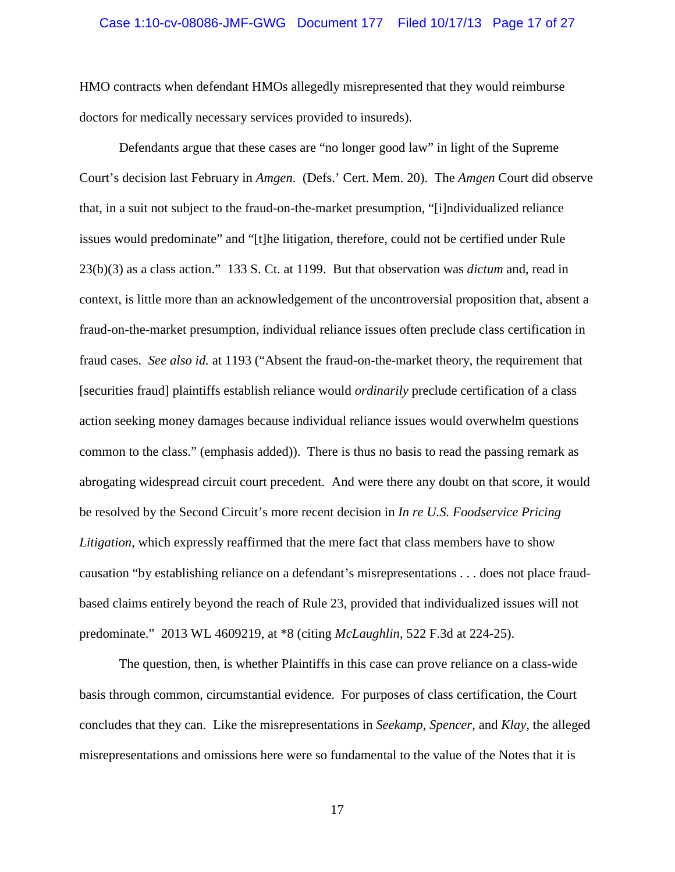# Case 1:10-cv-08086-JMF-GWG Document 177 Filed 10/17/13 Page 17 of 27

HMO contracts when defendant HMOs allegedly misrepresented that they would reimburse doctors for medically necessary services provided to insureds).

Defendants argue that these cases are "no longer good law" in light of the Supreme Court's decision last February in *Amgen*. (Defs.' Cert. Mem. 20). The *Amgen* Court did observe that, in a suit not subject to the fraud-on-the-market presumption, "[i]ndividualized reliance issues would predominate" and "[t]he litigation, therefore, could not be certified under Rule 23(b)(3) as a class action." 133 S. Ct. at 1199. But that observation was *dictum* and, read in context, is little more than an acknowledgement of the uncontroversial proposition that, absent a fraud-on-the-market presumption, individual reliance issues often preclude class certification in fraud cases. *See also id.* at 1193 ("Absent the fraud-on-the-market theory, the requirement that [securities fraud] plaintiffs establish reliance would *ordinarily* preclude certification of a class action seeking money damages because individual reliance issues would overwhelm questions common to the class." (emphasis added)). There is thus no basis to read the passing remark as abrogating widespread circuit court precedent. And were there any doubt on that score, it would be resolved by the Second Circuit's more recent decision in *In re U.S. Foodservice Pricing Litigation*, which expressly reaffirmed that the mere fact that class members have to show causation "by establishing reliance on a defendant's misrepresentations . . . does not place fraudbased claims entirely beyond the reach of Rule 23, provided that individualized issues will not predominate." 2013 WL 4609219, at \*8 (citing *McLaughlin*, 522 F.3d at 224-25).

The question, then, is whether Plaintiffs in this case can prove reliance on a class-wide basis through common, circumstantial evidence. For purposes of class certification, the Court concludes that they can. Like the misrepresentations in *Seekamp*, *Spencer*, and *Klay*, the alleged misrepresentations and omissions here were so fundamental to the value of the Notes that it is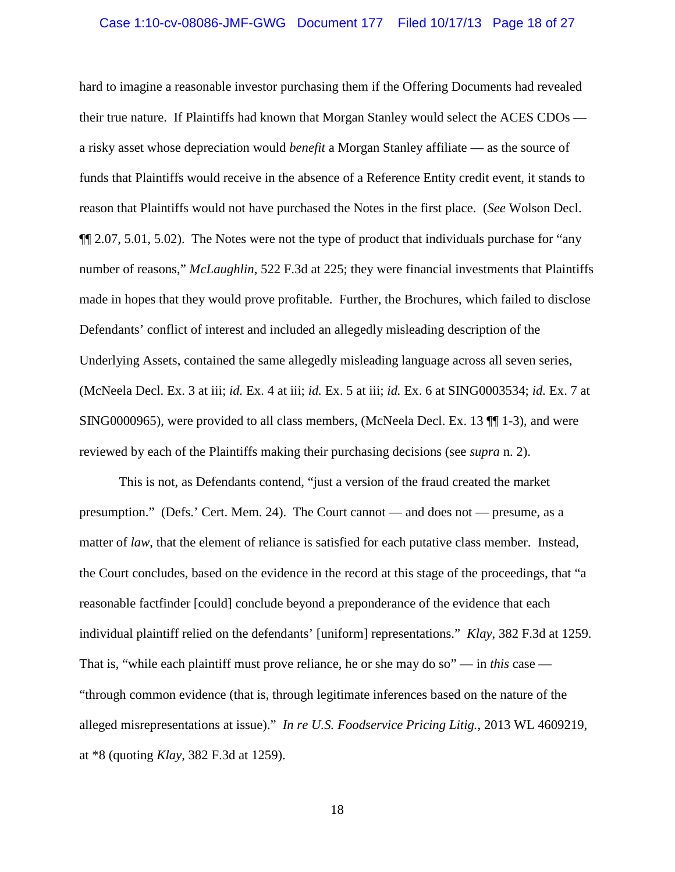# Case 1:10-cv-08086-JMF-GWG Document 177 Filed 10/17/13 Page 18 of 27

hard to imagine a reasonable investor purchasing them if the Offering Documents had revealed their true nature. If Plaintiffs had known that Morgan Stanley would select the ACES CDOs a risky asset whose depreciation would *benefit* a Morgan Stanley affiliate — as the source of funds that Plaintiffs would receive in the absence of a Reference Entity credit event, it stands to reason that Plaintiffs would not have purchased the Notes in the first place. (*See* Wolson Decl. ¶¶ 2.07, 5.01, 5.02). The Notes were not the type of product that individuals purchase for "any number of reasons," *McLaughlin*, 522 F.3d at 225; they were financial investments that Plaintiffs made in hopes that they would prove profitable. Further, the Brochures, which failed to disclose Defendants' conflict of interest and included an allegedly misleading description of the Underlying Assets, contained the same allegedly misleading language across all seven series, (McNeela Decl. Ex. 3 at iii; *id.* Ex. 4 at iii; *id.* Ex. 5 at iii; *id.* Ex. 6 at SING0003534; *id.* Ex. 7 at SING0000965), were provided to all class members, (McNeela Decl. Ex. 13 ¶¶ 1-3), and were reviewed by each of the Plaintiffs making their purchasing decisions (see *supra* n. 2).

This is not, as Defendants contend, "just a version of the fraud created the market presumption." (Defs.' Cert. Mem. 24). The Court cannot — and does not — presume, as a matter of *law*, that the element of reliance is satisfied for each putative class member. Instead, the Court concludes, based on the evidence in the record at this stage of the proceedings, that "a reasonable factfinder [could] conclude beyond a preponderance of the evidence that each individual plaintiff relied on the defendants' [uniform] representations." *Klay*, 382 F.3d at 1259. That is, "while each plaintiff must prove reliance, he or she may do so" — in *this* case — "through common evidence (that is, through legitimate inferences based on the nature of the alleged misrepresentations at issue)." *In re U.S. Foodservice Pricing Litig.*, 2013 WL 4609219, at \*8 (quoting *Klay*, 382 F.3d at 1259).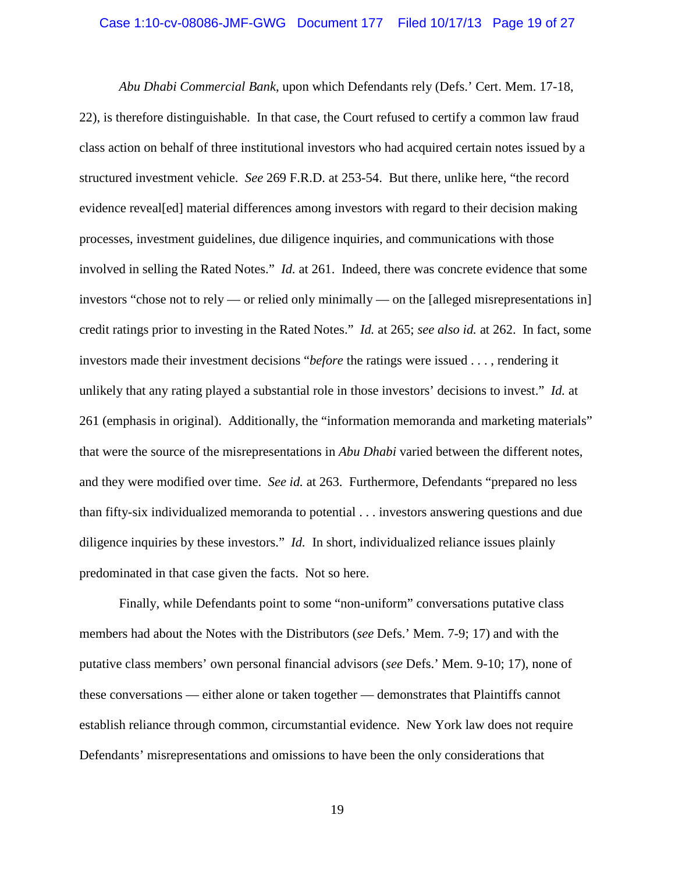# Case 1:10-cv-08086-JMF-GWG Document 177 Filed 10/17/13 Page 19 of 27

*Abu Dhabi Commercial Bank*, upon which Defendants rely (Defs.' Cert. Mem. 17-18, 22), is therefore distinguishable. In that case, the Court refused to certify a common law fraud class action on behalf of three institutional investors who had acquired certain notes issued by a structured investment vehicle. *See* 269 F.R.D. at 253-54. But there, unlike here, "the record evidence reveal[ed] material differences among investors with regard to their decision making processes, investment guidelines, due diligence inquiries, and communications with those involved in selling the Rated Notes." *Id.* at 261. Indeed, there was concrete evidence that some investors "chose not to rely — or relied only minimally — on the [alleged misrepresentations in] credit ratings prior to investing in the Rated Notes." *Id.* at 265; *see also id.* at 262. In fact, some investors made their investment decisions "*before* the ratings were issued . . . , rendering it unlikely that any rating played a substantial role in those investors' decisions to invest." *Id.* at 261 (emphasis in original). Additionally, the "information memoranda and marketing materials" that were the source of the misrepresentations in *Abu Dhabi* varied between the different notes, and they were modified over time. *See id.* at 263. Furthermore, Defendants "prepared no less than fifty-six individualized memoranda to potential . . . investors answering questions and due diligence inquiries by these investors." *Id.* In short, individualized reliance issues plainly predominated in that case given the facts. Not so here.

Finally, while Defendants point to some "non-uniform" conversations putative class members had about the Notes with the Distributors (*see* Defs.' Mem. 7-9; 17) and with the putative class members' own personal financial advisors (*see* Defs.' Mem. 9-10; 17), none of these conversations — either alone or taken together — demonstrates that Plaintiffs cannot establish reliance through common, circumstantial evidence. New York law does not require Defendants' misrepresentations and omissions to have been the only considerations that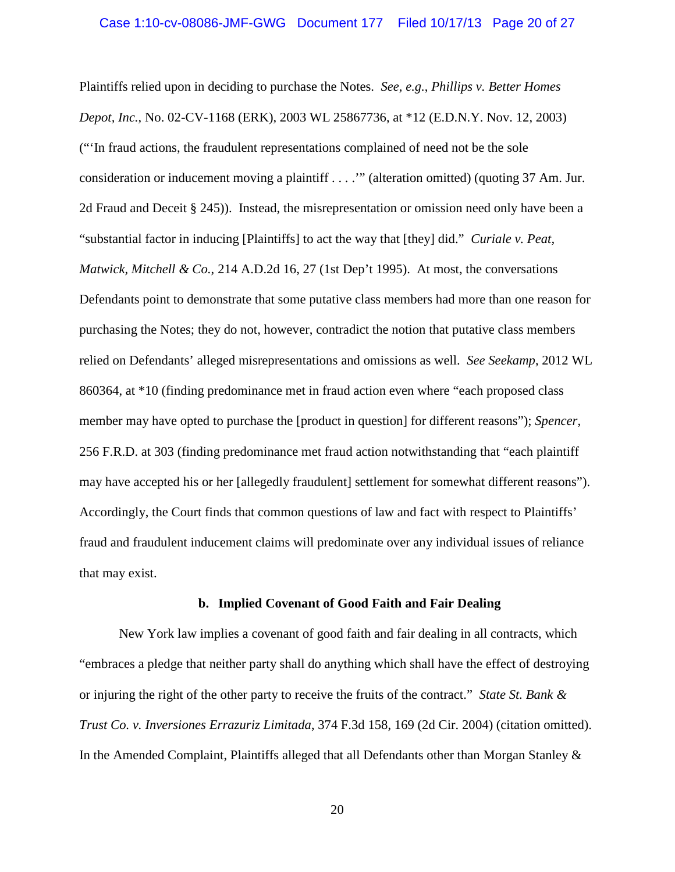Plaintiffs relied upon in deciding to purchase the Notes. *See, e.g.*, *Phillips v. Better Homes Depot, Inc.*, No. 02-CV-1168 (ERK), 2003 WL 25867736, at \*12 (E.D.N.Y. Nov. 12, 2003) ("'In fraud actions, the fraudulent representations complained of need not be the sole consideration or inducement moving a plaintiff . . . .'" (alteration omitted) (quoting 37 Am. Jur. 2d Fraud and Deceit § 245)). Instead, the misrepresentation or omission need only have been a "substantial factor in inducing [Plaintiffs] to act the way that [they] did." *Curiale v. Peat, Matwick, Mitchell & Co.*, 214 A.D.2d 16, 27 (1st Dep't 1995). At most, the conversations Defendants point to demonstrate that some putative class members had more than one reason for purchasing the Notes; they do not, however, contradict the notion that putative class members relied on Defendants' alleged misrepresentations and omissions as well. *See Seekamp*, 2012 WL 860364, at \*10 (finding predominance met in fraud action even where "each proposed class member may have opted to purchase the [product in question] for different reasons"); *Spencer*, 256 F.R.D. at 303 (finding predominance met fraud action notwithstanding that "each plaintiff may have accepted his or her [allegedly fraudulent] settlement for somewhat different reasons"). Accordingly, the Court finds that common questions of law and fact with respect to Plaintiffs' fraud and fraudulent inducement claims will predominate over any individual issues of reliance that may exist.

# **b. Implied Covenant of Good Faith and Fair Dealing**

New York law implies a covenant of good faith and fair dealing in all contracts, which "embraces a pledge that neither party shall do anything which shall have the effect of destroying or injuring the right of the other party to receive the fruits of the contract." *State St. Bank & Trust Co. v. Inversiones Errazuriz Limitada*, 374 F.3d 158, 169 (2d Cir. 2004) (citation omitted). In the Amended Complaint, Plaintiffs alleged that all Defendants other than Morgan Stanley &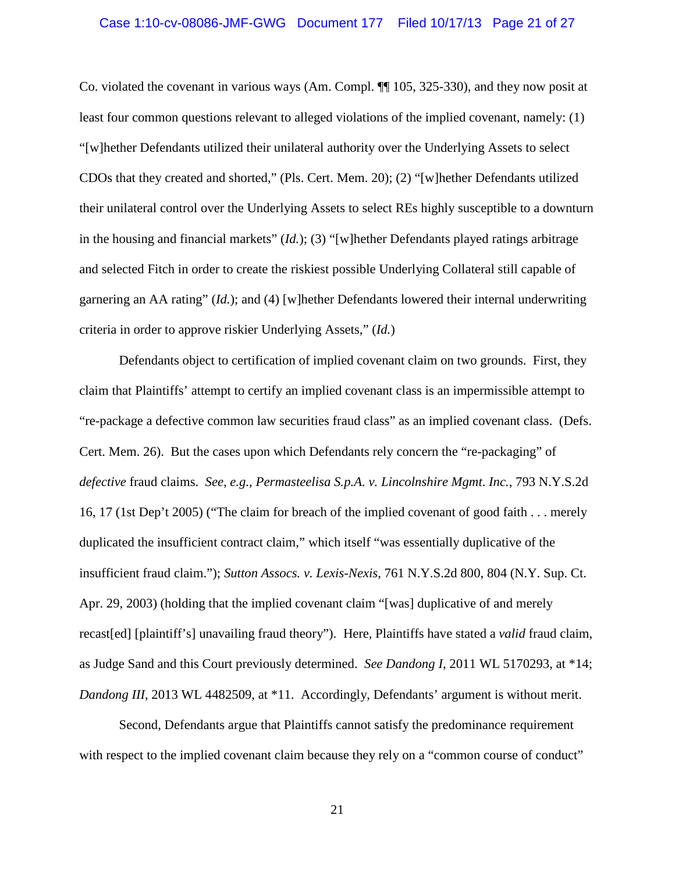# Case 1:10-cv-08086-JMF-GWG Document 177 Filed 10/17/13 Page 21 of 27

Co. violated the covenant in various ways (Am. Compl. ¶¶ 105, 325-330), and they now posit at least four common questions relevant to alleged violations of the implied covenant, namely: (1) "[w]hether Defendants utilized their unilateral authority over the Underlying Assets to select CDOs that they created and shorted," (Pls. Cert. Mem. 20); (2) "[w]hether Defendants utilized their unilateral control over the Underlying Assets to select REs highly susceptible to a downturn in the housing and financial markets" (*Id.*); (3) "[w]hether Defendants played ratings arbitrage and selected Fitch in order to create the riskiest possible Underlying Collateral still capable of garnering an AA rating" (*Id.*); and (4) [w]hether Defendants lowered their internal underwriting criteria in order to approve riskier Underlying Assets," (*Id.*)

Defendants object to certification of implied covenant claim on two grounds. First, they claim that Plaintiffs' attempt to certify an implied covenant class is an impermissible attempt to "re-package a defective common law securities fraud class" as an implied covenant class. (Defs. Cert. Mem. 26). But the cases upon which Defendants rely concern the "re-packaging" of *defective* fraud claims. *See, e.g.*, *Permasteelisa S.p.A. v. Lincolnshire Mgmt*. *Inc.*, 793 N.Y.S.2d 16, 17 (1st Dep't 2005) ("The claim for breach of the implied covenant of good faith . . . merely duplicated the insufficient contract claim," which itself "was essentially duplicative of the insufficient fraud claim."); *Sutton Assocs. v. Lexis-Nexis*, 761 N.Y.S.2d 800, 804 (N.Y. Sup. Ct. Apr. 29, 2003) (holding that the implied covenant claim "[was] duplicative of and merely recast[ed] [plaintiff's] unavailing fraud theory"). Here, Plaintiffs have stated a *valid* fraud claim, as Judge Sand and this Court previously determined. *See Dandong I*, 2011 WL 5170293, at \*14; *Dandong III*, 2013 WL 4482509, at \*11. Accordingly, Defendants' argument is without merit.

Second, Defendants argue that Plaintiffs cannot satisfy the predominance requirement with respect to the implied covenant claim because they rely on a "common course of conduct"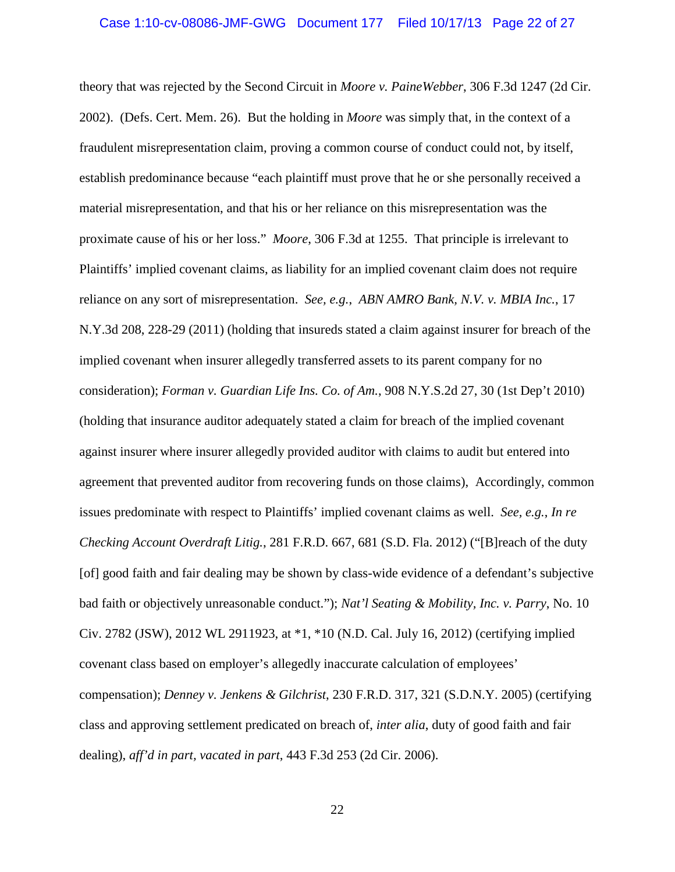# Case 1:10-cv-08086-JMF-GWG Document 177 Filed 10/17/13 Page 22 of 27

theory that was rejected by the Second Circuit in *Moore v. PaineWebber*, 306 F.3d 1247 (2d Cir. 2002). (Defs. Cert. Mem. 26). But the holding in *Moore* was simply that, in the context of a fraudulent misrepresentation claim, proving a common course of conduct could not, by itself, establish predominance because "each plaintiff must prove that he or she personally received a material misrepresentation, and that his or her reliance on this misrepresentation was the proximate cause of his or her loss." *Moore*, 306 F.3d at 1255. That principle is irrelevant to Plaintiffs' implied covenant claims, as liability for an implied covenant claim does not require reliance on any sort of misrepresentation. *See, e.g.*, *ABN AMRO Bank, N.V. v. MBIA Inc.*, 17 N.Y.3d 208, 228-29 (2011) (holding that insureds stated a claim against insurer for breach of the implied covenant when insurer allegedly transferred assets to its parent company for no consideration); *Forman v. Guardian Life Ins. Co. of Am.*, 908 N.Y.S.2d 27, 30 (1st Dep't 2010) (holding that insurance auditor adequately stated a claim for breach of the implied covenant against insurer where insurer allegedly provided auditor with claims to audit but entered into agreement that prevented auditor from recovering funds on those claims), Accordingly, common issues predominate with respect to Plaintiffs' implied covenant claims as well. *See, e.g.*, *In re Checking Account Overdraft Litig.*, 281 F.R.D. 667, 681 (S.D. Fla. 2012) ("[B]reach of the duty [of] good faith and fair dealing may be shown by class-wide evidence of a defendant's subjective bad faith or objectively unreasonable conduct."); *Nat'l Seating & Mobility, Inc. v. Parry*, No. 10 Civ. 2782 (JSW), 2012 WL 2911923, at \*1, \*10 (N.D. Cal. July 16, 2012) (certifying implied covenant class based on employer's allegedly inaccurate calculation of employees' compensation); *Denney v. Jenkens & Gilchrist*, 230 F.R.D. 317, 321 (S.D.N.Y. 2005) (certifying class and approving settlement predicated on breach of, *inter alia*, duty of good faith and fair dealing), *aff'd in part, vacated in part*, 443 F.3d 253 (2d Cir. 2006).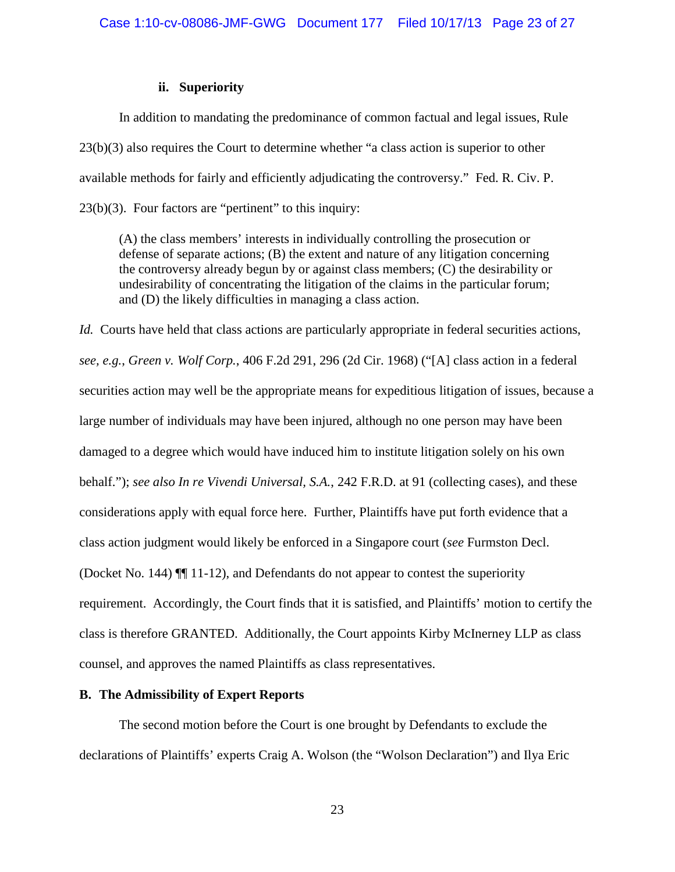# **ii. Superiority**

In addition to mandating the predominance of common factual and legal issues, Rule 23(b)(3) also requires the Court to determine whether "a class action is superior to other available methods for fairly and efficiently adjudicating the controversy." Fed. R. Civ. P.  $23(b)(3)$ . Four factors are "pertinent" to this inquiry:

(A) the class members' interests in individually controlling the prosecution or defense of separate actions; (B) the extent and nature of any litigation concerning the controversy already begun by or against class members; (C) the desirability or undesirability of concentrating the litigation of the claims in the particular forum; and (D) the likely difficulties in managing a class action.

*Id.* Courts have held that class actions are particularly appropriate in federal securities actions, *see, e.g.*, *Green v. Wolf Corp.*, 406 F.2d 291, 296 (2d Cir. 1968) ("[A] class action in a federal securities action may well be the appropriate means for expeditious litigation of issues, because a large number of individuals may have been injured, although no one person may have been damaged to a degree which would have induced him to institute litigation solely on his own behalf."); *see also In re Vivendi Universal, S.A.*, 242 F.R.D. at 91 (collecting cases), and these considerations apply with equal force here. Further, Plaintiffs have put forth evidence that a class action judgment would likely be enforced in a Singapore court (*see* Furmston Decl. (Docket No. 144) ¶¶ 11-12), and Defendants do not appear to contest the superiority requirement. Accordingly, the Court finds that it is satisfied, and Plaintiffs' motion to certify the class is therefore GRANTED. Additionally, the Court appoints Kirby McInerney LLP as class counsel, and approves the named Plaintiffs as class representatives.

# **B. The Admissibility of Expert Reports**

The second motion before the Court is one brought by Defendants to exclude the declarations of Plaintiffs' experts Craig A. Wolson (the "Wolson Declaration") and Ilya Eric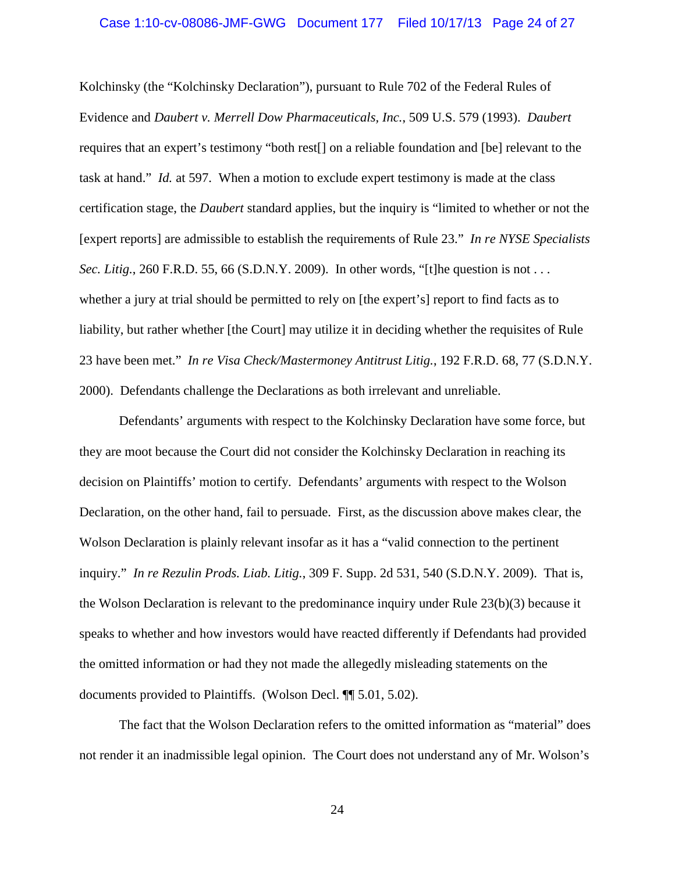# Case 1:10-cv-08086-JMF-GWG Document 177 Filed 10/17/13 Page 24 of 27

Kolchinsky (the "Kolchinsky Declaration"), pursuant to Rule 702 of the Federal Rules of Evidence and *Daubert v. Merrell Dow Pharmaceuticals, Inc.*, 509 U.S. 579 (1993). *Daubert* requires that an expert's testimony "both rest[] on a reliable foundation and [be] relevant to the task at hand." *Id.* at 597. When a motion to exclude expert testimony is made at the class certification stage, the *Daubert* standard applies, but the inquiry is "limited to whether or not the [expert reports] are admissible to establish the requirements of Rule 23." *In re NYSE Specialists Sec. Litig.*, 260 F.R.D. 55, 66 (S.D.N.Y. 2009). In other words, "[t]he question is not . . . whether a jury at trial should be permitted to rely on [the expert's] report to find facts as to liability, but rather whether [the Court] may utilize it in deciding whether the requisites of Rule 23 have been met." *In re Visa Check/Mastermoney Antitrust Litig.*, 192 F.R.D. 68, 77 (S.D.N.Y. 2000). Defendants challenge the Declarations as both irrelevant and unreliable.

Defendants' arguments with respect to the Kolchinsky Declaration have some force, but they are moot because the Court did not consider the Kolchinsky Declaration in reaching its decision on Plaintiffs' motion to certify. Defendants' arguments with respect to the Wolson Declaration, on the other hand, fail to persuade. First, as the discussion above makes clear, the Wolson Declaration is plainly relevant insofar as it has a "valid connection to the pertinent inquiry." *In re Rezulin Prods. Liab. Litig.*, 309 F. Supp. 2d 531, 540 (S.D.N.Y. 2009). That is, the Wolson Declaration is relevant to the predominance inquiry under Rule 23(b)(3) because it speaks to whether and how investors would have reacted differently if Defendants had provided the omitted information or had they not made the allegedly misleading statements on the documents provided to Plaintiffs. (Wolson Decl. ¶¶ 5.01, 5.02).

The fact that the Wolson Declaration refers to the omitted information as "material" does not render it an inadmissible legal opinion. The Court does not understand any of Mr. Wolson's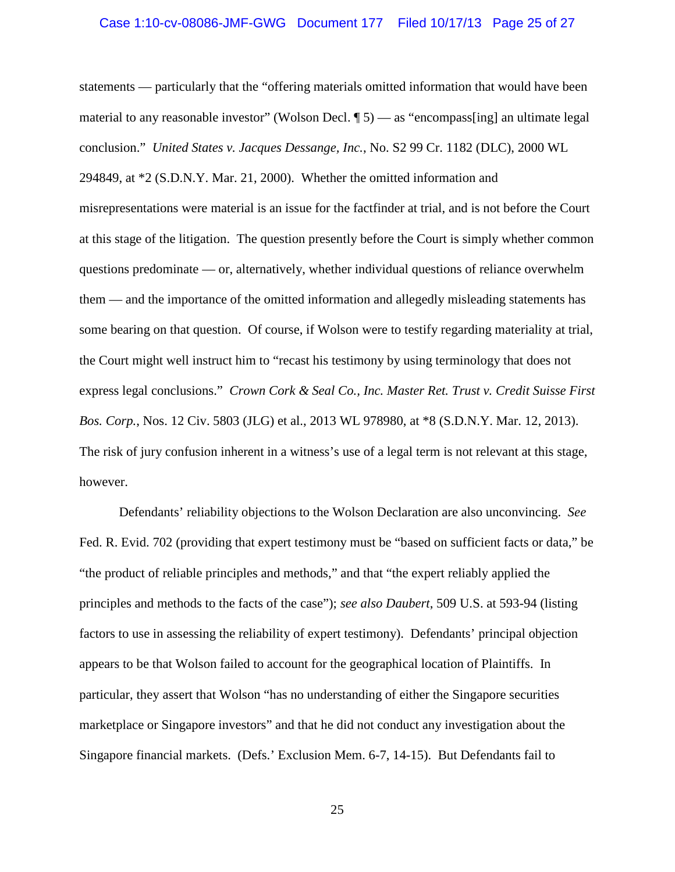# Case 1:10-cv-08086-JMF-GWG Document 177 Filed 10/17/13 Page 25 of 27

statements — particularly that the "offering materials omitted information that would have been material to any reasonable investor" (Wolson Decl.  $\llbracket 5$ ) — as "encompass[ing] an ultimate legal conclusion." *United States v. Jacques Dessange, Inc.*, No. S2 99 Cr. 1182 (DLC), 2000 WL 294849, at \*2 (S.D.N.Y. Mar. 21, 2000). Whether the omitted information and misrepresentations were material is an issue for the factfinder at trial, and is not before the Court at this stage of the litigation. The question presently before the Court is simply whether common questions predominate — or, alternatively, whether individual questions of reliance overwhelm them — and the importance of the omitted information and allegedly misleading statements has some bearing on that question. Of course, if Wolson were to testify regarding materiality at trial, the Court might well instruct him to "recast his testimony by using terminology that does not express legal conclusions." *Crown Cork & Seal Co., Inc. Master Ret. Trust v. Credit Suisse First Bos. Corp.*, Nos. 12 Civ. 5803 (JLG) et al., 2013 WL 978980, at \*8 (S.D.N.Y. Mar. 12, 2013). The risk of jury confusion inherent in a witness's use of a legal term is not relevant at this stage, however.

Defendants' reliability objections to the Wolson Declaration are also unconvincing. *See*  Fed. R. Evid. 702 (providing that expert testimony must be "based on sufficient facts or data," be "the product of reliable principles and methods," and that "the expert reliably applied the principles and methods to the facts of the case"); *see also Daubert*, 509 U.S. at 593-94 (listing factors to use in assessing the reliability of expert testimony). Defendants' principal objection appears to be that Wolson failed to account for the geographical location of Plaintiffs. In particular, they assert that Wolson "has no understanding of either the Singapore securities marketplace or Singapore investors" and that he did not conduct any investigation about the Singapore financial markets. (Defs.' Exclusion Mem. 6-7, 14-15). But Defendants fail to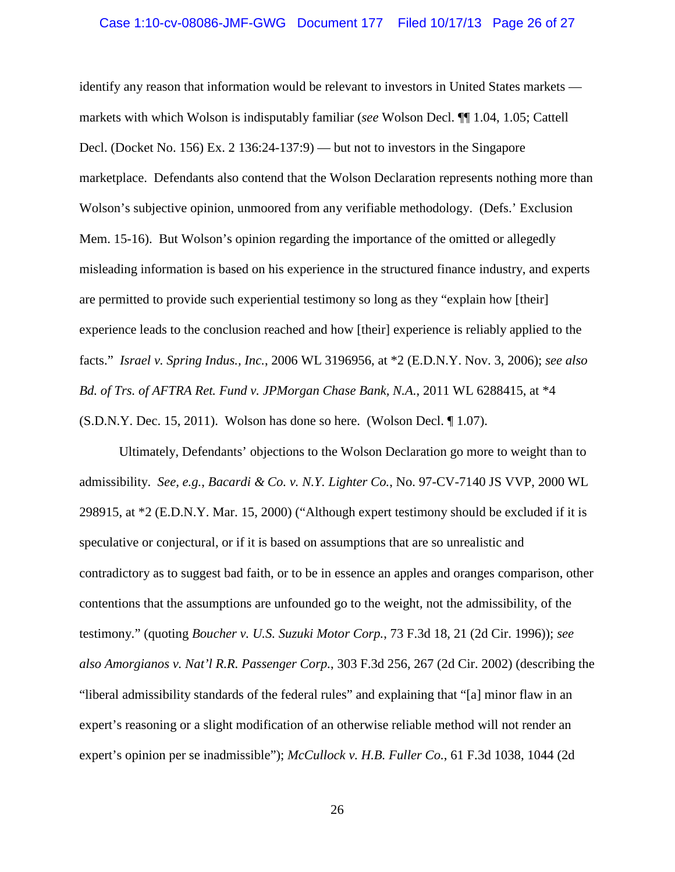# Case 1:10-cv-08086-JMF-GWG Document 177 Filed 10/17/13 Page 26 of 27

identify any reason that information would be relevant to investors in United States markets markets with which Wolson is indisputably familiar (*see* Wolson Decl. ¶¶ 1.04, 1.05; Cattell Decl. (Docket No. 156) Ex. 2 136:24-137:9) — but not to investors in the Singapore marketplace. Defendants also contend that the Wolson Declaration represents nothing more than Wolson's subjective opinion, unmoored from any verifiable methodology. (Defs.' Exclusion Mem. 15-16). But Wolson's opinion regarding the importance of the omitted or allegedly misleading information is based on his experience in the structured finance industry, and experts are permitted to provide such experiential testimony so long as they "explain how [their] experience leads to the conclusion reached and how [their] experience is reliably applied to the facts." *Israel v. Spring Indus., Inc.*, 2006 WL 3196956, at \*2 (E.D.N.Y. Nov. 3, 2006); *see also Bd. of Trs. of AFTRA Ret. Fund v. JPMorgan Chase Bank, N.A.*, 2011 WL 6288415, at \*4 (S.D.N.Y. Dec. 15, 2011). Wolson has done so here. (Wolson Decl. ¶ 1.07).

Ultimately, Defendants' objections to the Wolson Declaration go more to weight than to admissibility. *See, e.g.*, *Bacardi & Co. v. N.Y. Lighter Co.*, No. 97-CV-7140 JS VVP, 2000 WL 298915, at \*2 (E.D.N.Y. Mar. 15, 2000) ("Although expert testimony should be excluded if it is speculative or conjectural, or if it is based on assumptions that are so unrealistic and contradictory as to suggest bad faith, or to be in essence an apples and oranges comparison, other contentions that the assumptions are unfounded go to the weight, not the admissibility, of the testimony." (quoting *Boucher v. U.S. Suzuki Motor Corp.*, 73 F.3d 18, 21 (2d Cir. 1996)); *see also Amorgianos v. Nat'l R.R. Passenger Corp.*, 303 F.3d 256, 267 (2d Cir. 2002) (describing the "liberal admissibility standards of the federal rules" and explaining that "[a] minor flaw in an expert's reasoning or a slight modification of an otherwise reliable method will not render an expert's opinion per se inadmissible"); *McCullock v. H.B. Fuller Co.*, 61 F.3d 1038, 1044 (2d